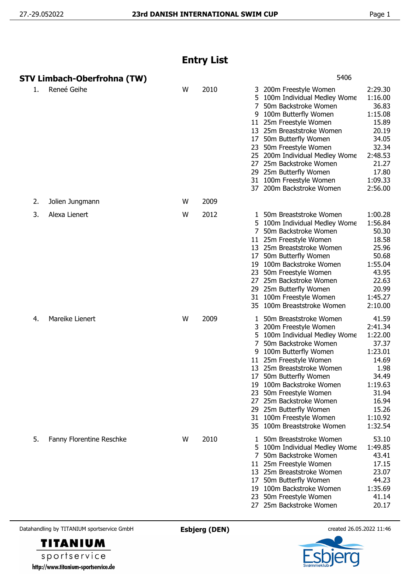## **Entry List**

|    | STV Limbach-Oberfrohna (TW) |   |      | 5406                                                                                                                                                                                                                                                                                                                                                                                         |                                                                                                                                       |
|----|-----------------------------|---|------|----------------------------------------------------------------------------------------------------------------------------------------------------------------------------------------------------------------------------------------------------------------------------------------------------------------------------------------------------------------------------------------------|---------------------------------------------------------------------------------------------------------------------------------------|
| 1. | Reneé Geihe                 | W | 2010 | 3 200m Freestyle Women<br>5.<br>100m Individual Medley Wome<br>7<br>50m Backstroke Women<br>100m Butterfly Women<br>9<br>11 25m Freestyle Women<br>13 25m Breaststroke Women<br>50m Butterfly Women<br>17<br>23 50m Freestyle Women<br>25 200m Individual Medley Wome<br>25m Backstroke Women<br>27<br>29 25m Butterfly Women<br>31 100m Freestyle Women<br>37 200m Backstroke Women         | 2:29.30<br>1:16.00<br>36.83<br>1:15.08<br>15.89<br>20.19<br>34.05<br>32.34<br>2:48.53<br>21.27<br>17.80<br>1:09.33<br>2:56.00         |
| 2. | Jolien Jungmann             | W | 2009 |                                                                                                                                                                                                                                                                                                                                                                                              |                                                                                                                                       |
| 3. | Alexa Lienert               | W | 2012 | 1 50m Breaststroke Women<br>5 100m Individual Medley Wome<br>50m Backstroke Women<br>25m Freestyle Women<br>11<br>13 25m Breaststroke Women<br>50m Butterfly Women<br>17<br>100m Backstroke Women<br>19<br>23 50m Freestyle Women<br>25m Backstroke Women<br>27<br>29 25m Butterfly Women<br>100m Freestyle Women<br>31<br>35 100m Breaststroke Women                                        | 1:00.28<br>1:56.84<br>50.30<br>18.58<br>25.96<br>50.68<br>1:55.04<br>43.95<br>22.63<br>20.99<br>1:45.27<br>2:10.00                    |
| 4. | Mareike Lienert             | W | 2009 | 50m Breaststroke Women<br>3 200m Freestyle Women<br>100m Individual Medley Wome<br>7<br>50m Backstroke Women<br>100m Butterfly Women<br>11 25m Freestyle Women<br>13 25m Breaststroke Women<br>50m Butterfly Women<br>17<br>19 100m Backstroke Women<br>50m Freestyle Women<br>25m Backstroke Women<br>27<br>29 25m Butterfly Women<br>31 100m Freestyle Women<br>35 100m Breaststroke Women | 41.59<br>2:41.34<br>1:22.00<br>37.37<br>1:23.01<br>14.69<br>1.98<br>34.49<br>1:19.63<br>31.94<br>16.94<br>15.26<br>1:10.92<br>1:32.54 |
| 5. | Fanny Florentine Reschke    | W | 2010 | 50m Breaststroke Women<br>100m Individual Medley Wome<br>5.<br>50m Backstroke Women<br>11 25m Freestyle Women<br>13 25m Breaststroke Women<br>50m Butterfly Women<br>17<br>19 100m Backstroke Women<br>50m Freestyle Women<br>23<br>27 25m Backstroke Women                                                                                                                                  | 53.10<br>1:49.85<br>43.41<br>17.15<br>23.07<br>44.23<br>1:35.69<br>41.14<br>20.17                                                     |

Datahandling by TITANIUM sportservice GmbH **Esbjerg (DEN)** created 26.05.2022 11:46

**TITANIUM** sportservice http://www.titanium-sportservice.de